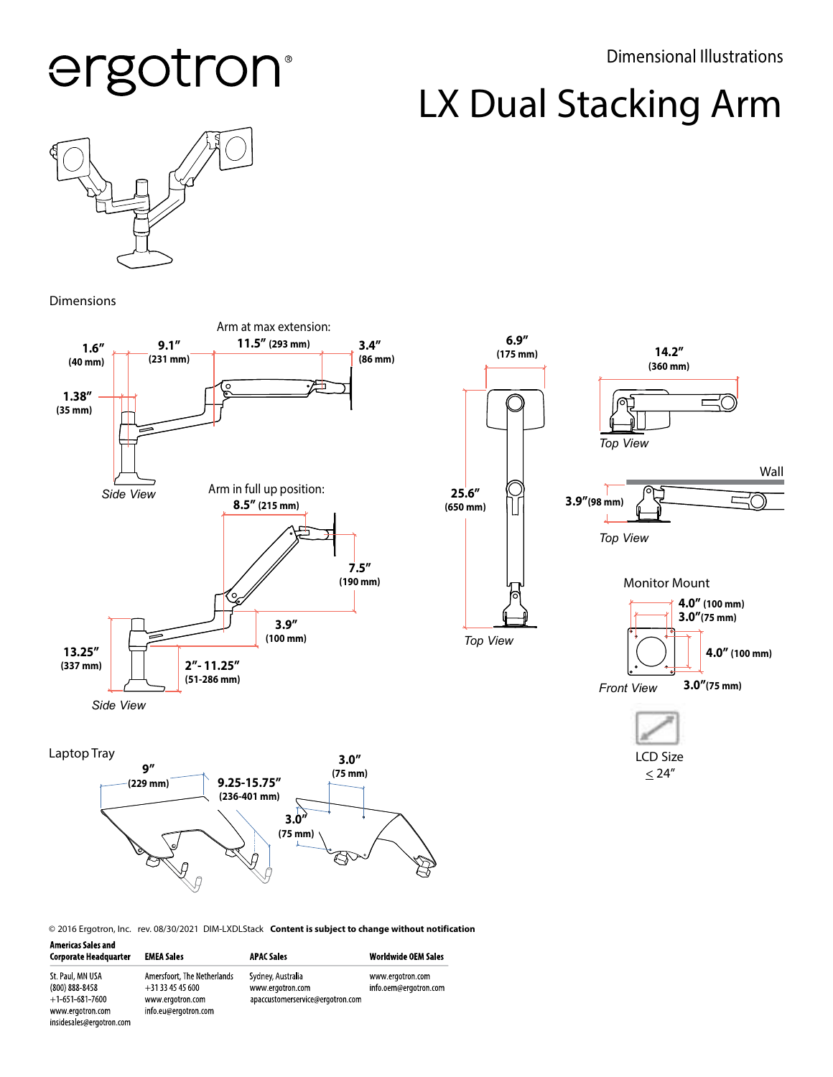#### Dimensional Illustrations

# ergotron®

LX Dual Stacking Arm



Dimensions

insidesales@ergotron.com



© 2016 Ergotron, Inc. rev. 08/30/2021 DIM-LXDLStack Content is subject to change without notification

| <b>Americas Sales and</b><br><b>Corporate Headquarter</b> | <b>EMEA Sales</b>                             | <b>APAC Sales</b>                     | <b>Worldwide OEM Sales</b>                |
|-----------------------------------------------------------|-----------------------------------------------|---------------------------------------|-------------------------------------------|
| St. Paul, MN USA<br>$(800) 888 - 8458$                    | Amersfoort, The Netherlands<br>$+31334545600$ | Sydney, Australia<br>www.ergotron.com | www.ergotron.com<br>info.oem@ergotron.com |
| $+1.651.681.7600$<br>www.ergotron.com                     | www.ergotron.com<br>info.eu@ergotron.com      | apaccustomerservice@ergotron.com      |                                           |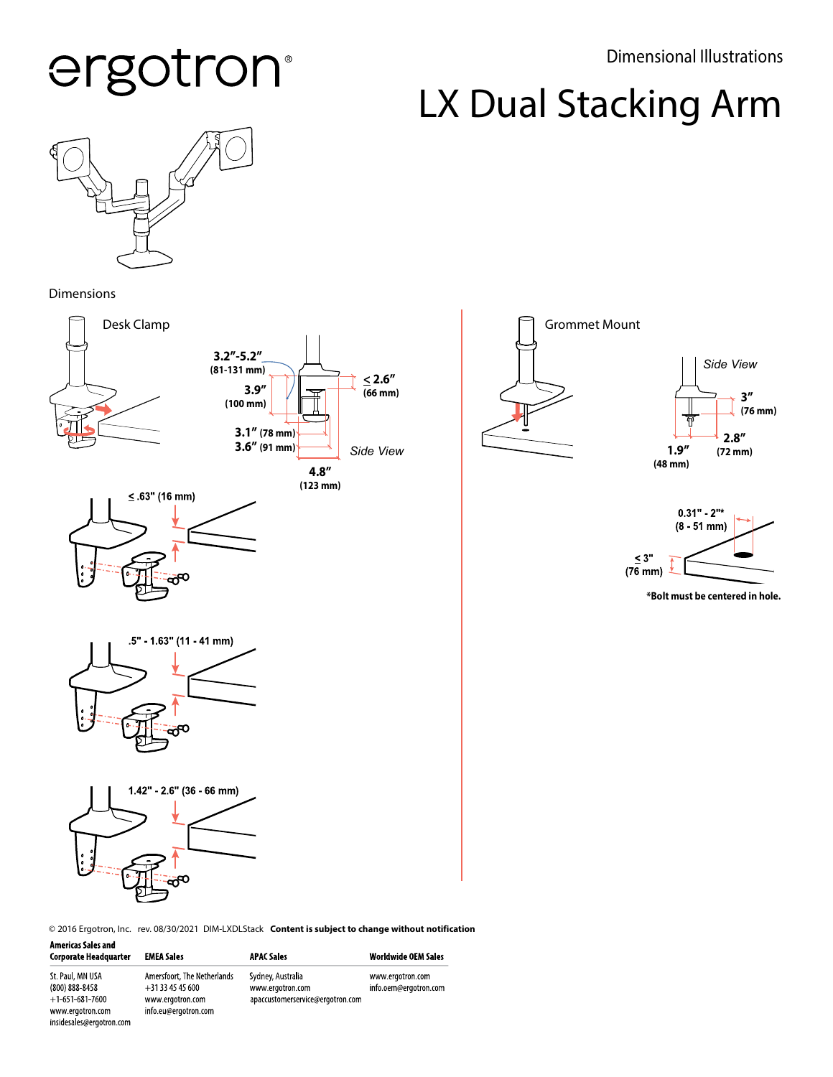## ergotron®

Dimensional Illustrations

## LX Dual Stacking Arm



Dimensions

insidesales@ergotron.com



© 2016 Ergotron, Inc. rev. 08/30/2021 DIM-LXDLStack Content is subject to change without notification

| <b>Americas Sales and</b><br><b>Corporate Headquarter</b> | <b>EMEA Sales</b>                             | <b>APAC Sales</b>                     | <b>Worldwide OEM Sales</b>                |
|-----------------------------------------------------------|-----------------------------------------------|---------------------------------------|-------------------------------------------|
| St. Paul, MN USA<br>$(800) 888 - 8458$                    | Amersfoort, The Netherlands<br>$+31334545600$ | Sydney, Australia<br>www.ergotron.com | www.ergotron.com<br>info.oem@ergotron.com |
| $+1.651.681.7600$                                         | www.ergotron.com                              | apaccustomerservice@ergotron.com      |                                           |
| www.ergotron.com                                          | info.eu@ergotron.com                          |                                       |                                           |